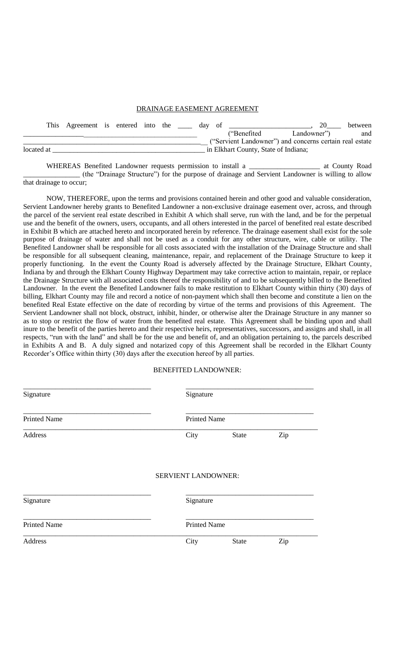#### DRAINAGE EASEMENT AGREEMENT

|            |  | This Agreement is entered into the |  |  |  |                                      | day of |  |               |                                                         | between |
|------------|--|------------------------------------|--|--|--|--------------------------------------|--------|--|---------------|---------------------------------------------------------|---------|
|            |  |                                    |  |  |  |                                      |        |  | ("Benefited") | Landowner")                                             | and     |
|            |  |                                    |  |  |  |                                      |        |  |               | ("Servient Landowner") and concerns certain real estate |         |
| located at |  |                                    |  |  |  | in Elkhart County, State of Indiana; |        |  |               |                                                         |         |

WHEREAS Benefited Landowner requests permission to install a \_\_\_\_\_\_\_\_\_\_\_\_\_\_\_\_\_\_\_\_ at County Road \_\_\_\_\_\_\_\_\_\_\_\_\_\_\_\_ (the "Drainage Structure") for the purpose of drainage and Servient Landowner is willing to allow that drainage to occur;

NOW, THEREFORE, upon the terms and provisions contained herein and other good and valuable consideration, Servient Landowner hereby grants to Benefited Landowner a non-exclusive drainage easement over, across, and through the parcel of the servient real estate described in Exhibit A which shall serve, run with the land, and be for the perpetual use and the benefit of the owners, users, occupants, and all others interested in the parcel of benefited real estate described in Exhibit B which are attached hereto and incorporated herein by reference. The drainage easement shall exist for the sole purpose of drainage of water and shall not be used as a conduit for any other structure, wire, cable or utility. The Benefited Landowner shall be responsible for all costs associated with the installation of the Drainage Structure and shall be responsible for all subsequent cleaning, maintenance, repair, and replacement of the Drainage Structure to keep it properly functioning. In the event the County Road is adversely affected by the Drainage Structure, Elkhart County, Indiana by and through the Elkhart County Highway Department may take corrective action to maintain, repair, or replace the Drainage Structure with all associated costs thereof the responsibility of and to be subsequently billed to the Benefited Landowner. In the event the Benefited Landowner fails to make restitution to Elkhart County within thirty (30) days of billing, Elkhart County may file and record a notice of non-payment which shall then become and constitute a lien on the benefited Real Estate effective on the date of recording by virtue of the terms and provisions of this Agreement. The Servient Landowner shall not block, obstruct, inhibit, hinder, or otherwise alter the Drainage Structure in any manner so as to stop or restrict the flow of water from the benefited real estate. This Agreement shall be binding upon and shall inure to the benefit of the parties hereto and their respective heirs, representatives, successors, and assigns and shall, in all respects, "run with the land" and shall be for the use and benefit of, and an obligation pertaining to, the parcels described in Exhibits A and B. A duly signed and notarized copy of this Agreement shall be recorded in the Elkhart County Recorder's Office within thirty (30) days after the execution hereof by all parties.

### BENEFITED LANDOWNER:

| Signature           |                            | Signature           |              |     |  |  |  |
|---------------------|----------------------------|---------------------|--------------|-----|--|--|--|
| <b>Printed Name</b> |                            | <b>Printed Name</b> |              |     |  |  |  |
| Address             |                            | City                | <b>State</b> | Zip |  |  |  |
|                     | <b>SERVIENT LANDOWNER:</b> |                     |              |     |  |  |  |
| Signature           |                            | Signature           |              |     |  |  |  |
| <b>Printed Name</b> |                            | <b>Printed Name</b> |              |     |  |  |  |
| Address             |                            | City                | <b>State</b> | Zip |  |  |  |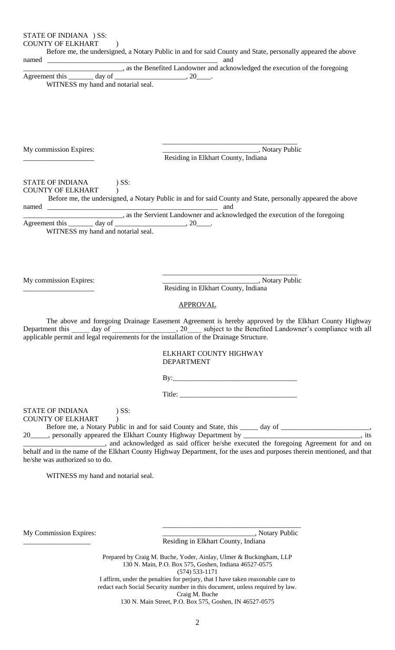STATE OF INDIANA ) SS:

COUNTY OF ELKHART (1)

Before me, the undersigned, a Notary Public in and for said County and State, personally appeared the above

named \_\_\_\_\_\_\_\_\_\_\_\_\_\_\_\_\_\_\_\_\_\_\_\_\_\_\_\_\_\_\_\_\_\_\_\_\_\_\_\_\_\_\_\_\_\_\_\_ and

\_\_\_\_\_\_\_\_\_\_\_\_\_\_\_\_\_\_\_\_\_\_\_\_\_\_\_\_, as the Benefited Landowner and acknowledged the execution of the foregoing

Agreement this \_\_\_\_\_\_\_ day of \_\_\_\_\_\_\_\_\_\_\_\_\_\_\_\_\_\_\_\_, 20\_\_\_\_. WITNESS my hand and notarial seal.

My commission Expires:  $\qquad \qquad \qquad$  \_\_\_\_\_\_\_\_\_\_\_\_\_\_\_\_\_\_\_\_\_\_\_\_\_\_\_\_, Notary Public Residing in Elkhart County, Indiana

\_\_\_\_\_\_\_\_\_\_\_\_\_\_\_\_\_\_\_\_\_\_\_\_\_\_\_\_\_\_\_\_\_\_\_\_\_\_

#### STATE OF INDIANA ) SS: COUNTY OF ELKHART )

 Before me, the undersigned, a Notary Public in and for said County and State, personally appeared the above named and  $\overline{\phantom{a}}$  and  $\overline{\phantom{a}}$ \_\_\_\_\_\_\_\_\_\_\_\_\_\_\_\_\_\_\_\_\_\_\_\_\_\_\_\_, as the Servient Landowner and acknowledged the execution of the foregoing

Agreement this \_\_\_\_\_\_\_ day of \_\_\_\_\_\_\_\_\_\_\_\_\_\_\_\_\_\_\_\_\_, 20\_

WITNESS my hand and notarial seal.

\_\_\_\_\_\_\_\_\_\_\_\_\_\_\_\_\_\_\_\_\_\_\_\_\_\_\_\_\_\_\_\_\_\_\_\_\_\_ My commission Expires: \_\_\_\_\_\_\_\_\_\_\_\_\_\_\_\_\_\_\_\_\_\_\_\_\_\_\_, Notary Public

Residing in Elkhart County, Indiana

### APPROVAL

The above and foregoing Drainage Easement Agreement is hereby approved by the Elkhart County Highway Department to the Benefited Landowner's compliance with all applicable permit and legal requirements for the installation of the Drainage Structure.

> ELKHART COUNTY HIGHWAY DEPARTMENT

By:\_\_\_\_\_\_\_\_\_\_\_\_\_\_\_\_\_\_\_\_\_\_\_\_\_\_\_\_\_\_\_\_\_\_\_

Title: \_\_\_\_\_\_\_\_\_\_\_\_\_\_\_\_\_\_\_\_\_\_\_\_\_\_\_\_\_\_\_\_\_

STATE OF INDIANA ) SS:

COUNTY OF ELKHART (1)

Before me, a Notary Public in and for said County and State, this \_\_\_\_\_ day of \_\_\_\_\_\_\_\_\_\_\_\_\_\_\_\_\_\_\_\_\_\_\_\_\_, 20\_\_\_\_\_, personally appeared the Elkhart County Highway Department by \_\_\_\_\_\_\_\_\_\_\_\_\_\_\_\_\_\_\_\_\_\_\_\_\_\_\_\_\_\_, its

\_\_\_\_\_\_\_\_\_\_\_\_\_\_\_\_\_\_\_\_\_\_\_, and acknowledged as said officer he/she executed the foregoing Agreement for and on behalf and in the name of the Elkhart County Highway Department, for the uses and purposes therein mentioned, and that he/she was authorized so to do.

WITNESS my hand and notarial seal.

My Commission Expires:  $\blacksquare$ Residing in Elkhart County, Indiana

\_\_\_\_\_\_\_\_\_\_\_\_\_\_\_\_\_\_\_\_\_\_\_\_\_\_\_\_\_\_\_\_\_\_\_\_\_\_\_

Prepared by Craig M. Buche, Yoder, Ainlay, Ulmer & Buckingham, LLP 130 N. Main, P.O. Box 575, Goshen, Indiana 46527-0575 (574) 533-1171 I affirm, under the penalties for perjury, that I have taken reasonable care to redact each Social Security number in this document, unless required by law.

Craig M. Buche

130 N. Main Street, P.O. Box 575, Goshen, IN 46527-0575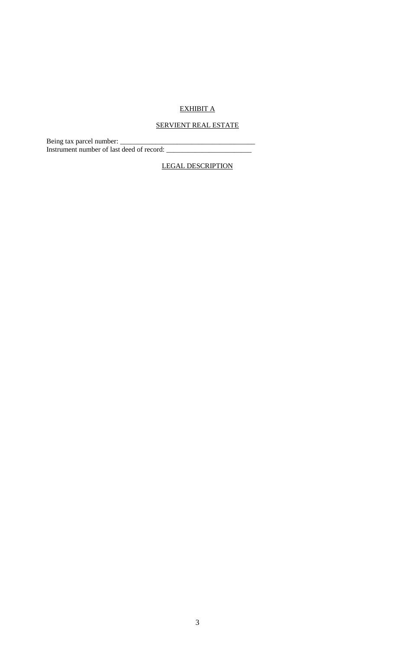## EXHIBIT A

# SERVIENT REAL ESTATE

Being tax parcel number: \_\_\_\_\_\_\_\_\_\_\_\_\_\_\_\_\_\_\_\_\_\_\_\_\_\_\_\_\_\_\_\_\_\_\_\_\_\_ Instrument number of last deed of record: \_\_\_\_\_\_\_\_\_\_\_\_\_\_\_\_\_\_\_\_\_\_\_\_

LEGAL DESCRIPTION